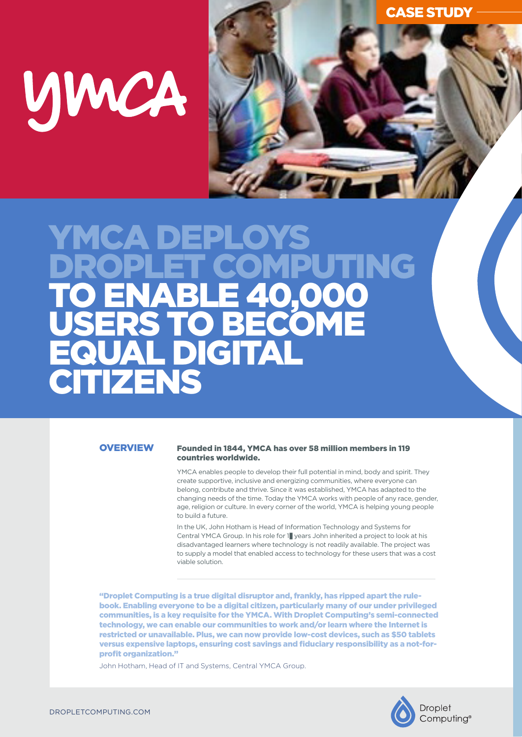# UJWCA

## YMCA **JET COMPUTING<br>ABLE 40.000** TO ENABLE 40,000 USERS TO BECOME **AL DIGITA TTIZENS**

**OVERVIEW** 

#### Founded in 1844, YMCA has over 58 million members in 119 countries worldwide.

YMCA enables people to develop their full potential in mind, body and spirit. They create supportive, inclusive and energizing communities, where everyone can belong, contribute and thrive. Since it was established, YMCA has adapted to the changing needs of the time. Today the YMCA works with people of any race, gender, age, religion or culture. In every corner of the world, YMCA is helping young people to build a future.

In the UK, John Hotham is Head of Information Technology and Systems for Central YMCA Group. In his role for 1 years John inherited a project to look at his disadvantaged learners where technology is not readily available. The project was to supply a model that enabled access to technology for these users that was a cost viable solution.

"Droplet Computing is a true digital disruptor and, frankly, has ripped apart the rulebook. Enabling everyone to be a digital citizen, particularly many of our under privileged communities, is a key requisite for the YMCA. With Droplet Computing's semi-connected technology, we can enable our communities to work and/or learn where the Internet is restricted or unavailable. Plus, we can now provide low-cost devices, such as \$50 tablets versus expensive laptops, ensuring cost savings and fiduciary responsibility as a not-forprofit organization."

John Hotham, Head of IT and Systems, Central YMCA Group.